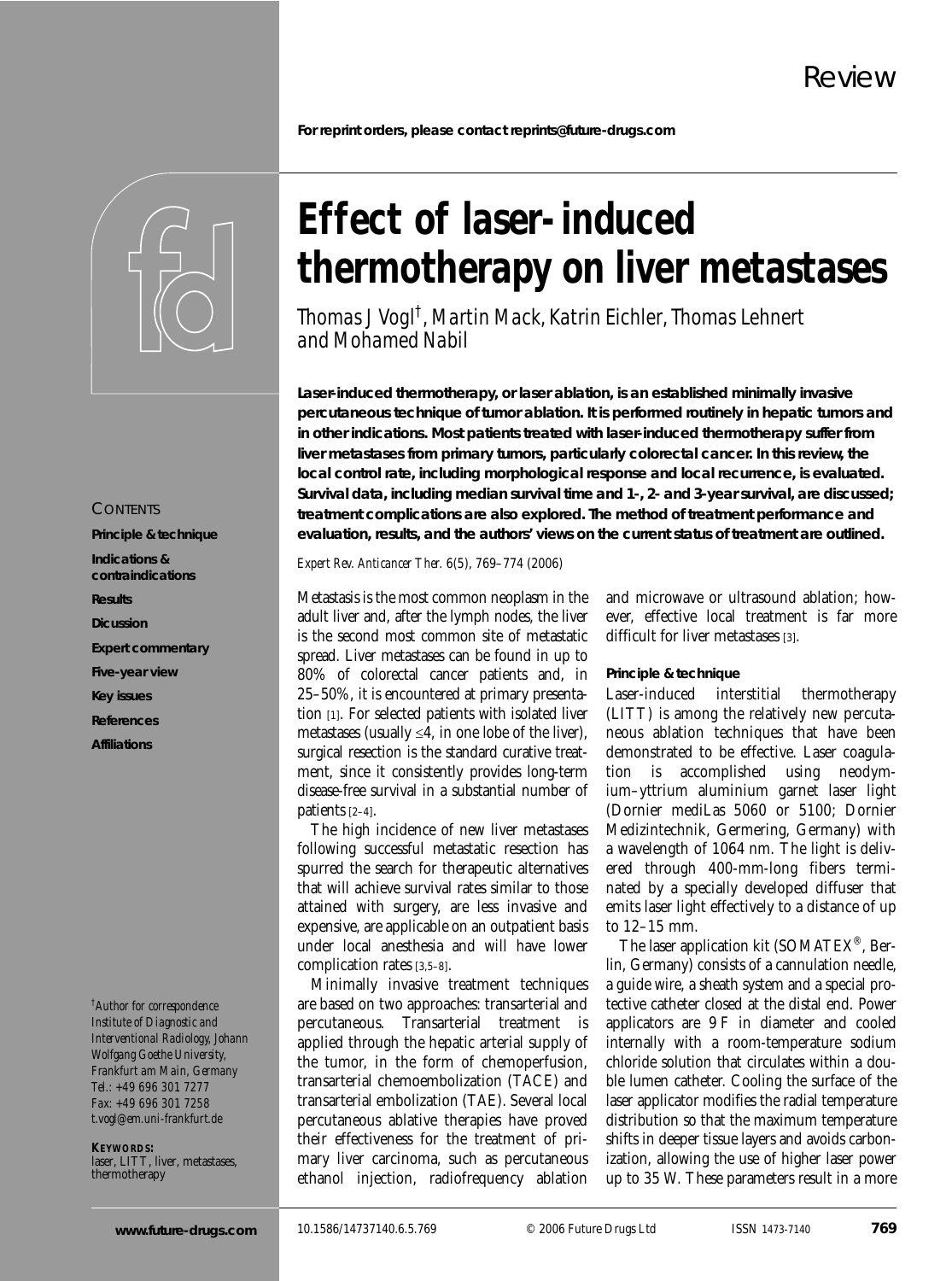**For reprint orders, please contact reprints@future-drugs.com**



#### **CONTENTS**

- **Principle & technique**
- **Indications & contraindications**
- **Results**
- **Dicussion**
- **Expert commentary**
- **Five-year view**
- **Key issues**
- **References**
- **Affiliations**

*† Author for correspondence Institute of Diagnostic and Interventional Radiology, Johann Wolfgang Goethe University, Frankfurt am Main, Germany Tel.: +49 696 301 7277 Fax: +49 696 301 7258 t.vogl@em.uni-frankfurt.de*

**KEYWORDS:**  laser, LITT, liver, metastases, thermotherapy

# **Effect of laser-induced thermotherapy on liver metastases**

*Thomas J Vogl† , Martin Mack, Katrin Eichler, Thomas Lehnert and Mohamed Nabil*

**Laser-induced thermotherapy, or laser ablation, is an established minimally invasive percutaneous technique of tumor ablation. It is performed routinely in hepatic tumors and in other indications. Most patients treated with laser-induced thermotherapy suffer from liver metastases from primary tumors, particularly colorectal cancer. In this review, the local control rate, including morphological response and local recurrence, is evaluated. Survival data, including median survival time and 1-, 2- and 3-year survival, are discussed; treatment complications are also explored. The method of treatment performance and evaluation, results, and the authors' views on the current status of treatment are outlined.** 

#### *Expert Rev. Anticancer Ther.* 6(5), 769–774 (2006)

Metastasis is the most common neoplasm in the adult liver and, after the lymph nodes, the liver is the second most common site of metastatic spread. Liver metastases can be found in up to 80% of colorectal cancer patients and, in 25–50%, it is encountered at primary presentation [1]. For selected patients with isolated liver metastases (usually  $\leq 4$ , in one lobe of the liver), surgical resection is the standard curative treatment, since it consistently provides long-term disease-free survival in a substantial number of patients [2–4].

The high incidence of new liver metastases following successful metastatic resection has spurred the search for therapeutic alternatives that will achieve survival rates similar to those attained with surgery, are less invasive and expensive, are applicable on an outpatient basis under local anesthesia and will have lower complication rates [3,5–8].

Minimally invasive treatment techniques are based on two approaches: transarterial and percutaneous. Transarterial treatment is applied through the hepatic arterial supply of the tumor, in the form of chemoperfusion, transarterial chemoembolization (TACE) and transarterial embolization (TAE). Several local percutaneous ablative therapies have proved their effectiveness for the treatment of primary liver carcinoma, such as percutaneous ethanol injection, radiofrequency ablation

and microwave or ultrasound ablation; however, effective local treatment is far more difficult for liver metastases [3].

### **Principle & technique**

Laser-induced interstitial thermotherapy (LITT) is among the relatively new percutaneous ablation techniques that have been demonstrated to be effective. Laser coagulation is accomplished using neodymium–yttrium aluminium garnet laser light (Dornier mediLas 5060 or 5100; Dornier Medizintechnik, Germering, Germany) with a wavelength of 1064 nm. The light is delivered through 400-mm-long fibers terminated by a specially developed diffuser that emits laser light effectively to a distance of up to 12–15 mm.

The laser application kit (SOMATEX<sup>®</sup>, Berlin, Germany) consists of a cannulation needle, a guide wire, a sheath system and a special protective catheter closed at the distal end. Power applicators are 9 F in diameter and cooled internally with a room-temperature sodium chloride solution that circulates within a double lumen catheter. Cooling the surface of the laser applicator modifies the radial temperature distribution so that the maximum temperature shifts in deeper tissue layers and avoids carbonization, allowing the use of higher laser power up to 35 W. These parameters result in a more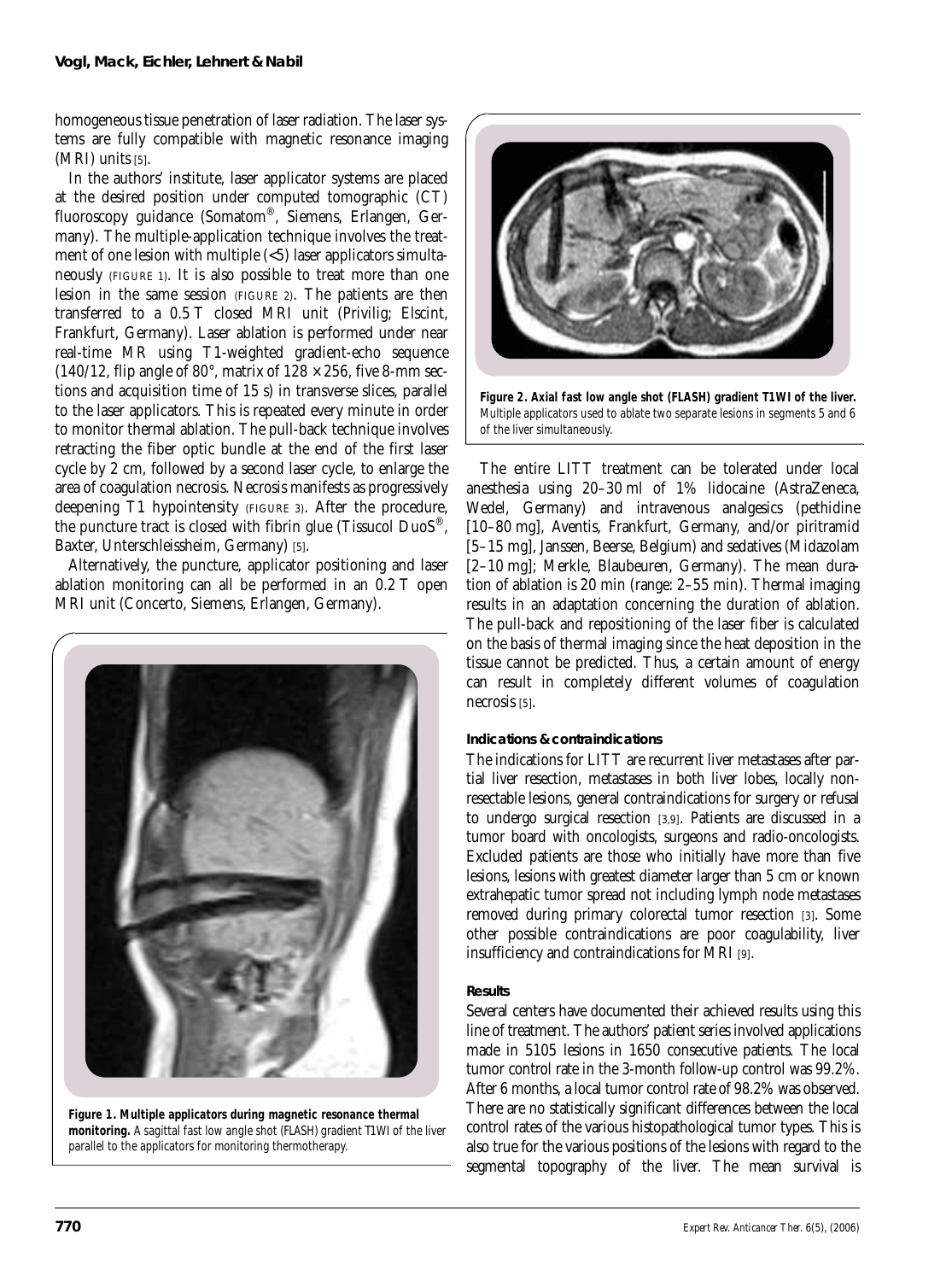homogeneous tissue penetration of laser radiation. The laser systems are fully compatible with magnetic resonance imaging (MRI) units [5].

In the authors' institute, laser applicator systems are placed at the desired position under computed tomographic (CT) fluoroscopy guidance (Somatom®, Siemens, Erlangen, Germany). The multiple-application technique involves the treatment of one lesion with multiple  $(*5*)$  laser applicators simultaneously (FIGURE 1). It is also possible to treat more than one lesion in the same session (FIGURE 2). The patients are then transferred to a 0.5 T closed MRI unit (Privilig; Elscint, Frankfurt, Germany). Laser ablation is performed under near real-time MR using T1-weighted gradient-echo sequence (140/12, flip angle of 80°, matrix of  $128 \times 256$ , five 8-mm sections and acquisition time of 15 s) in transverse slices, parallel to the laser applicators. This is repeated every minute in order to monitor thermal ablation. The pull-back technique involves retracting the fiber optic bundle at the end of the first laser cycle by 2 cm, followed by a second laser cycle, to enlarge the area of coagulation necrosis. Necrosis manifests as progressively deepening T1 hypointensity (FIGURE 3). After the procedure, the puncture tract is closed with fibrin glue (Tissucol DuoS®, Baxter, Unterschleissheim, Germany) [5].

Alternatively, the puncture, applicator positioning and laser ablation monitoring can all be performed in an 0.2 T open MRI unit (Concerto, Siemens, Erlangen, Germany).



**Figure 1. Multiple applicators during magnetic resonance thermal monitoring.** A sagittal fast low angle shot (FLASH) gradient T1WI of the liver parallel to the applicators for monitoring thermotherapy.



**Figure 2. Axial fast low angle shot (FLASH) gradient T1WI of the liver.**  Multiple applicators used to ablate two separate lesions in segments 5 and 6 of the liver simultaneously.

The entire LITT treatment can be tolerated under local anesthesia using 20–30 ml of 1% lidocaine (AstraZeneca, Wedel, Germany) and intravenous analgesics (pethidine [10–80 mg], Aventis, Frankfurt, Germany, and/or piritramid [5–15 mg], Janssen, Beerse, Belgium) and sedatives (Midazolam [2–10 mg]; Merkle, Blaubeuren, Germany). The mean duration of ablation is 20 min (range: 2–55 min). Thermal imaging results in an adaptation concerning the duration of ablation. The pull-back and repositioning of the laser fiber is calculated on the basis of thermal imaging since the heat deposition in the tissue cannot be predicted. Thus, a certain amount of energy can result in completely different volumes of coagulation necrosis [5].

### **Indications & contraindications**

The indications for LITT are recurrent liver metastases after partial liver resection, metastases in both liver lobes, locally nonresectable lesions, general contraindications for surgery or refusal to undergo surgical resection [3,9]. Patients are discussed in a tumor board with oncologists, surgeons and radio-oncologists. Excluded patients are those who initially have more than five lesions, lesions with greatest diameter larger than 5 cm or known extrahepatic tumor spread not including lymph node metastases removed during primary colorectal tumor resection [3]. Some other possible contraindications are poor coagulability, liver insufficiency and contraindications for MRI [9].

### **Results**

Several centers have documented their achieved results using this line of treatment. The authors' patient series involved applications made in 5105 lesions in 1650 consecutive patients. The local tumor control rate in the 3-month follow-up control was 99.2%. After 6 months, a local tumor control rate of 98.2% was observed. There are no statistically significant differences between the local control rates of the various histopathological tumor types. This is also true for the various positions of the lesions with regard to the segmental topography of the liver. The mean survival is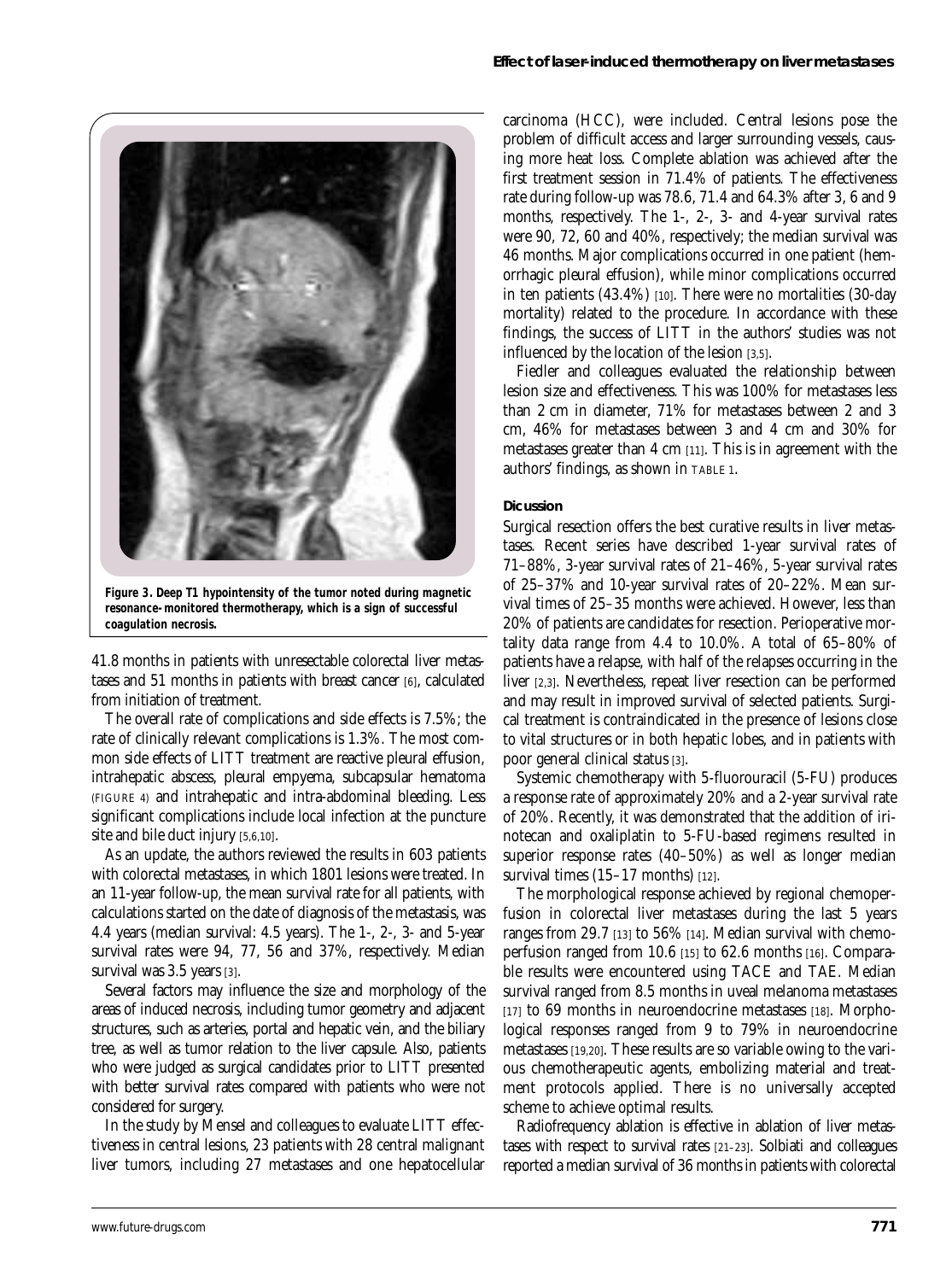

**Figure 3. Deep T1 hypointensity of the tumor noted during magnetic resonance-monitored thermotherapy, which is a sign of successful coagulation necrosis.** 

41.8 months in patients with unresectable colorectal liver metastases and 51 months in patients with breast cancer [6], calculated from initiation of treatment.

The overall rate of complications and side effects is 7.5%; the rate of clinically relevant complications is 1.3%. The most common side effects of LITT treatment are reactive pleural effusion, intrahepatic abscess, pleural empyema, subcapsular hematoma (FIGURE 4) and intrahepatic and intra-abdominal bleeding. Less significant complications include local infection at the puncture site and bile duct injury [5,6,10].

As an update, the authors reviewed the results in 603 patients with colorectal metastases, in which 1801 lesions were treated. In an 11-year follow-up, the mean survival rate for all patients, with calculations started on the date of diagnosis of the metastasis, was 4.4 years (median survival: 4.5 years). The 1-, 2-, 3- and 5-year survival rates were 94, 77, 56 and 37%, respectively. Median survival was 3.5 years [3].

Several factors may influence the size and morphology of the areas of induced necrosis, including tumor geometry and adjacent structures, such as arteries, portal and hepatic vein, and the biliary tree, as well as tumor relation to the liver capsule. Also, patients who were judged as surgical candidates prior to LITT presented with better survival rates compared with patients who were not considered for surgery.

In the study by Mensel and colleagues to evaluate LITT effectiveness in central lesions, 23 patients with 28 central malignant liver tumors, including 27 metastases and one hepatocellular

carcinoma (HCC), were included. Central lesions pose the problem of difficult access and larger surrounding vessels, causing more heat loss. Complete ablation was achieved after the first treatment session in 71.4% of patients. The effectiveness rate during follow-up was 78.6, 71.4 and 64.3% after 3, 6 and 9 months, respectively. The 1-, 2-, 3- and 4-year survival rates were 90, 72, 60 and 40%, respectively; the median survival was 46 months. Major complications occurred in one patient (hemorrhagic pleural effusion), while minor complications occurred in ten patients (43.4%) [10]. There were no mortalities (30-day mortality) related to the procedure. In accordance with these findings, the success of LITT in the authors' studies was not influenced by the location of the lesion [3,5].

Fiedler and colleagues evaluated the relationship between lesion size and effectiveness. This was 100% for metastases less than 2 cm in diameter, 71% for metastases between 2 and 3 cm, 46% for metastases between 3 and 4 cm and 30% for metastases greater than 4 cm [11]. This is in agreement with the authors' findings, as shown in TABLE 1.

### **Dicussion**

Surgical resection offers the best curative results in liver metastases. Recent series have described 1-year survival rates of 71–88%, 3-year survival rates of 21–46%, 5-year survival rates of 25–37% and 10-year survival rates of 20–22%. Mean survival times of 25–35 months were achieved. However, less than 20% of patients are candidates for resection. Perioperative mortality data range from 4.4 to 10.0%. A total of 65–80% of patients have a relapse, with half of the relapses occurring in the liver [2,3]. Nevertheless, repeat liver resection can be performed and may result in improved survival of selected patients. Surgical treatment is contraindicated in the presence of lesions close to vital structures or in both hepatic lobes, and in patients with poor general clinical status [3].

Systemic chemotherapy with 5-fluorouracil (5-FU) produces a response rate of approximately 20% and a 2-year survival rate of 20%. Recently, it was demonstrated that the addition of irinotecan and oxaliplatin to 5-FU-based regimens resulted in superior response rates (40–50%) as well as longer median survival times  $(15-17 \text{ months})$  [12].

The morphological response achieved by regional chemoperfusion in colorectal liver metastases during the last 5 years ranges from 29.7 [13] to 56% [14]. Median survival with chemoperfusion ranged from 10.6 [15] to 62.6 months [16]. Comparable results were encountered using TACE and TAE. Median survival ranged from 8.5 months in uveal melanoma metastases [17] to 69 months in neuroendocrine metastases [18]. Morphological responses ranged from 9 to 79% in neuroendocrine metastases [19,20]. These results are so variable owing to the various chemotherapeutic agents, embolizing material and treatment protocols applied. There is no universally accepted scheme to achieve optimal results.

Radiofrequency ablation is effective in ablation of liver metastases with respect to survival rates [21–23]. Solbiati and colleagues reported a median survival of 36 months in patients with colorectal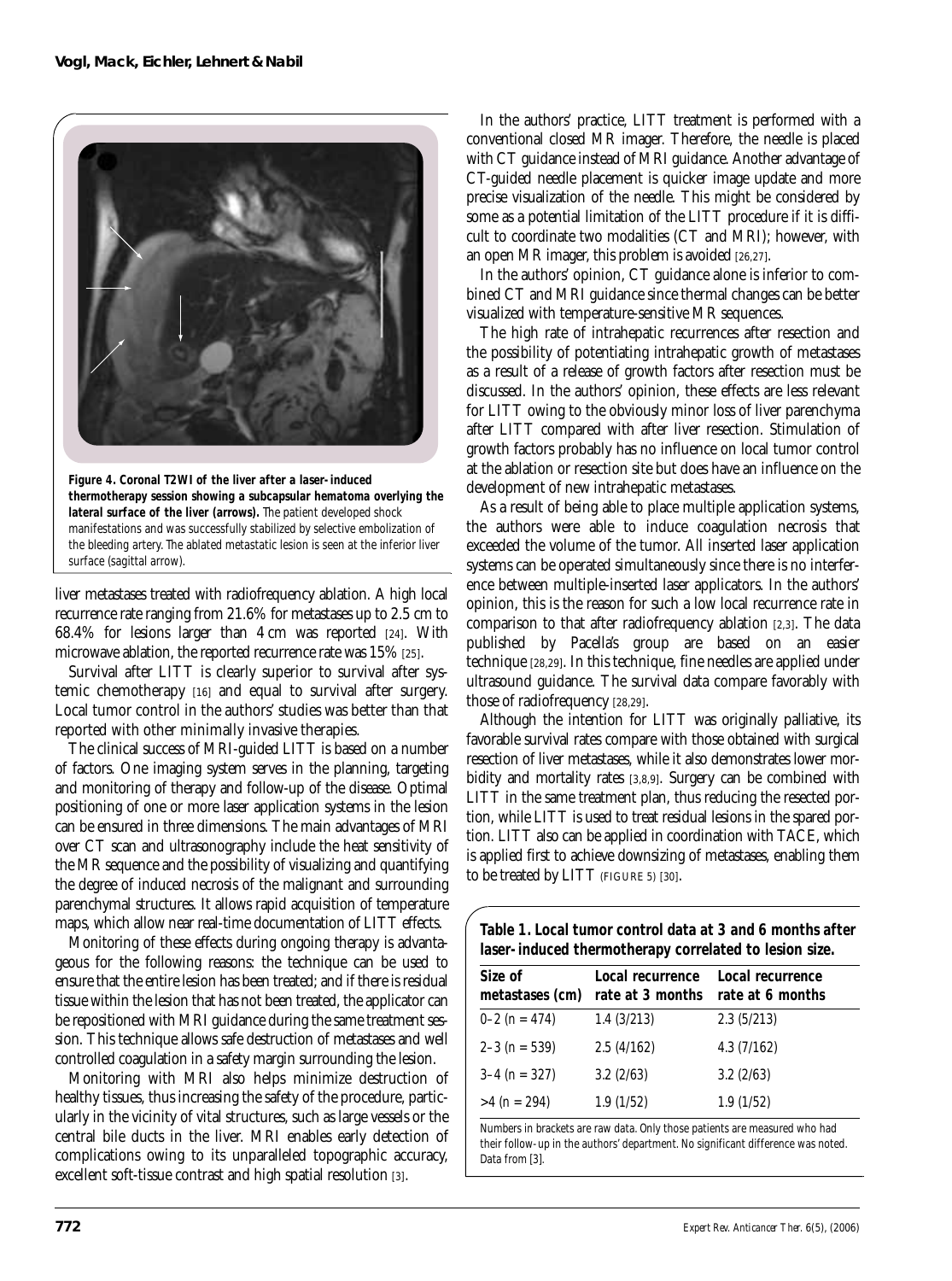

**Figure 4. Coronal T2WI of the liver after a laser-induced thermotherapy session showing a subcapsular hematoma overlying the lateral surface of the liver (arrows).** The patient developed shock manifestations and was successfully stabilized by selective embolization of the bleeding artery. The ablated metastatic lesion is seen at the inferior liver surface (sagittal arrow).

liver metastases treated with radiofrequency ablation. A high local recurrence rate ranging from 21.6% for metastases up to 2.5 cm to 68.4% for lesions larger than 4 cm was reported [24]. With microwave ablation, the reported recurrence rate was 15% [25].

Survival after LITT is clearly superior to survival after systemic chemotherapy [16] and equal to survival after surgery. Local tumor control in the authors' studies was better than that reported with other minimally invasive therapies.

The clinical success of MRI-guided LITT is based on a number of factors. One imaging system serves in the planning, targeting and monitoring of therapy and follow-up of the disease. Optimal positioning of one or more laser application systems in the lesion can be ensured in three dimensions. The main advantages of MRI over CT scan and ultrasonography include the heat sensitivity of the MR sequence and the possibility of visualizing and quantifying the degree of induced necrosis of the malignant and surrounding parenchymal structures. It allows rapid acquisition of temperature maps, which allow near real-time documentation of LITT effects.

Monitoring of these effects during ongoing therapy is advantageous for the following reasons: the technique can be used to ensure that the entire lesion has been treated; and if there is residual tissue within the lesion that has not been treated, the applicator can be repositioned with MRI guidance during the same treatment session. This technique allows safe destruction of metastases and well controlled coagulation in a safety margin surrounding the lesion.

Monitoring with MRI also helps minimize destruction of healthy tissues, thus increasing the safety of the procedure, particularly in the vicinity of vital structures, such as large vessels or the central bile ducts in the liver. MRI enables early detection of complications owing to its unparalleled topographic accuracy, excellent soft-tissue contrast and high spatial resolution [3].

In the authors' practice, LITT treatment is performed with a conventional closed MR imager. Therefore, the needle is placed with CT guidance instead of MRI guidance. Another advantage of CT-guided needle placement is quicker image update and more precise visualization of the needle. This might be considered by some as a potential limitation of the LITT procedure if it is difficult to coordinate two modalities (CT and MRI); however, with an open MR imager, this problem is avoided [26,27].

In the authors' opinion, CT guidance alone is inferior to combined CT and MRI guidance since thermal changes can be better visualized with temperature-sensitive MR sequences.

The high rate of intrahepatic recurrences after resection and the possibility of potentiating intrahepatic growth of metastases as a result of a release of growth factors after resection must be discussed. In the authors' opinion, these effects are less relevant for LITT owing to the obviously minor loss of liver parenchyma after LITT compared with after liver resection. Stimulation of growth factors probably has no influence on local tumor control at the ablation or resection site but does have an influence on the development of new intrahepatic metastases.

As a result of being able to place multiple application systems, the authors were able to induce coagulation necrosis that exceeded the volume of the tumor. All inserted laser application systems can be operated simultaneously since there is no interference between multiple-inserted laser applicators. In the authors' opinion, this is the reason for such a low local recurrence rate in comparison to that after radiofrequency ablation [2,3]. The data published by Pacella's group are based on an easier technique [28,29]. In this technique, fine needles are applied under ultrasound guidance. The survival data compare favorably with those of radiofrequency [28,29].

Although the intention for LITT was originally palliative, its favorable survival rates compare with those obtained with surgical resection of liver metastases, while it also demonstrates lower morbidity and mortality rates [3,8,9]. Surgery can be combined with LITT in the same treatment plan, thus reducing the resected portion, while LITT is used to treat residual lesions in the spared portion. LITT also can be applied in coordination with TACE, which is applied first to achieve downsizing of metastases, enabling them to be treated by LITT (FIGURE 5) [30].

**Table 1. Local tumor control data at 3 and 6 months after laser-induced thermotherapy correlated to lesion size.** 

| Size of<br>metastases (cm) | Local recurrence<br>rate at 3 months | Local recurrence<br>rate at 6 months |
|----------------------------|--------------------------------------|--------------------------------------|
| $0 - 2(n = 474)$           | 1.4(3/213)                           | 2.3(5/213)                           |
| $2 - 3$ (n = 539)          | 2.5(4/162)                           | 4.3(7/162)                           |
| $3-4$ (n = 327)            | 3.2(2/63)                            | 3.2(2/63)                            |
| $>4$ (n = 294)             | 1.9(1/52)                            | 1.9(1/52)                            |

Numbers in brackets are raw data. Only those patients are measured who had their follow-up in the authors' department. No significant difference was noted. Data from [3].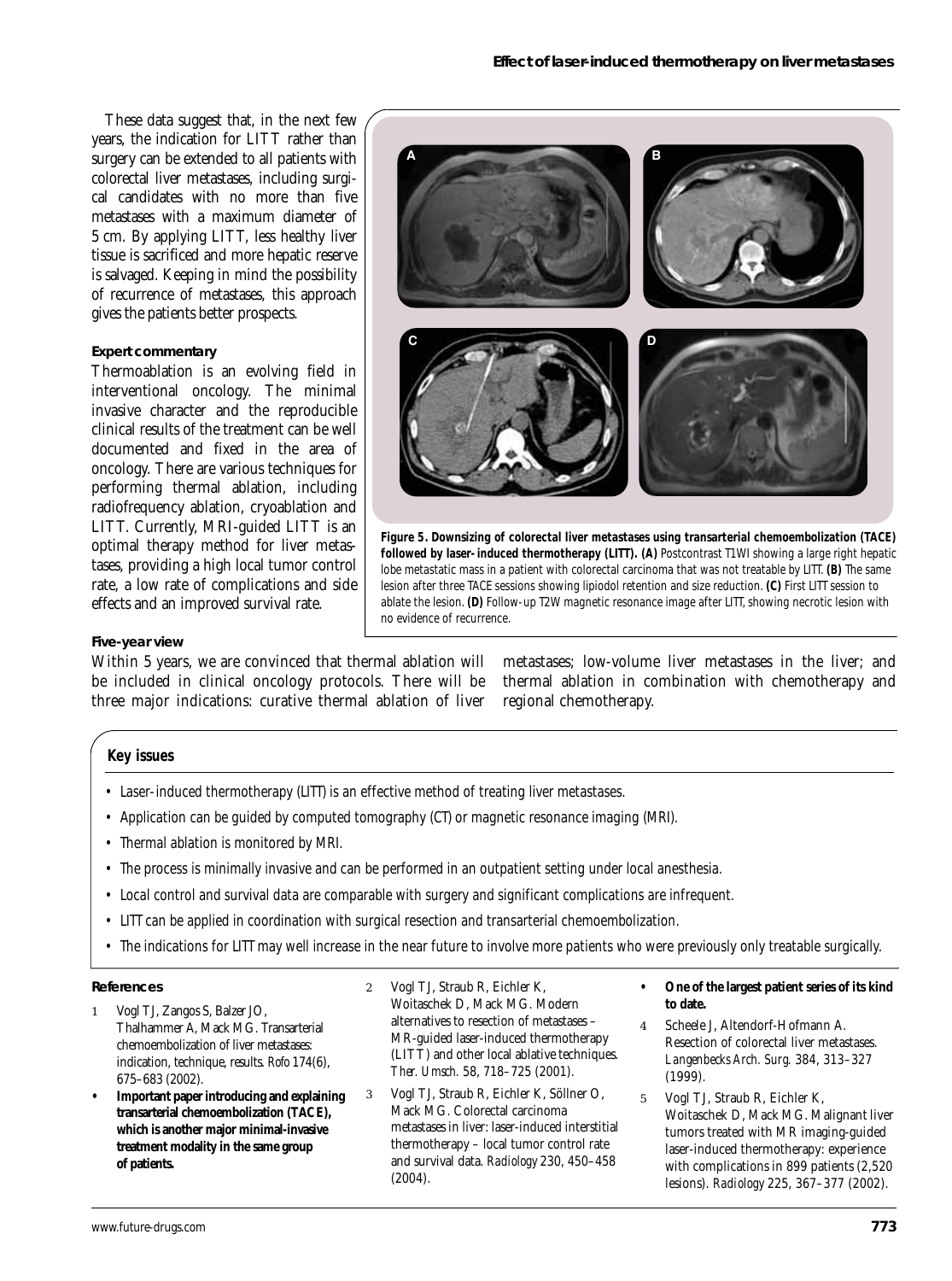These data suggest that, in the next few years, the indication for LITT rather than surgery can be extended to all patients with colorectal liver metastases, including surgical candidates with no more than five metastases with a maximum diameter of 5 cm. By applying LITT, less healthy liver tissue is sacrificed and more hepatic reserve is salvaged. Keeping in mind the possibility of recurrence of metastases, this approach gives the patients better prospects.

### **Expert commentary**

Thermoablation is an evolving field in interventional oncology. The minimal invasive character and the reproducible clinical results of the treatment can be well documented and fixed in the area of oncology. There are various techniques for performing thermal ablation, including radiofrequency ablation, cryoablation and LITT. Currently, MRI-guided LITT is an optimal therapy method for liver metastases, providing a high local tumor control rate, a low rate of complications and side effects and an improved survival rate.



**Figure 5. Downsizing of colorectal liver metastases using transarterial chemoembolization (TACE) followed by laser-induced thermotherapy (LITT). (A)** Postcontrast T1WI showing a large right hepatic lobe metastatic mass in a patient with colorectal carcinoma that was not treatable by LITT. **(B)** The same lesion after three TACE sessions showing lipiodol retention and size reduction. **(C)** First LITT session to ablate the lesion. **(D)** Follow-up T2W magnetic resonance image after LITT, showing necrotic lesion with no evidence of recurrence.

### **Five-year view**

Within 5 years, we are convinced that thermal ablation will be included in clinical oncology protocols. There will be three major indications: curative thermal ablation of liver

metastases; low-volume liver metastases in the liver; and thermal ablation in combination with chemotherapy and regional chemotherapy.

# **Key issues**

- Laser-induced thermotherapy (LITT) is an effective method of treating liver metastases.
- Application can be guided by computed tomography (CT) or magnetic resonance imaging (MRI).
- Thermal ablation is monitored by MRI.
- The process is minimally invasive and can be performed in an outpatient setting under local anesthesia.
- Local control and survival data are comparable with surgery and significant complications are infrequent.
- LITT can be applied in coordination with surgical resection and transarterial chemoembolization.
- The indications for LITT may well increase in the near future to involve more patients who were previously only treatable surgically.

# **References**

- 1 Vogl TJ, Zangos S, Balzer JO, Thalhammer A, Mack MG. Transarterial chemoembolization of liver metastases: indication, technique, results. *Rofo* 174(6), 675–683 (2002).
- **Important paper introducing and explaining transarterial chemoembolization (TACE), which is another major minimal-invasive treatment modality in the same group of patients.**
- 2 Vogl TJ, Straub R, Eichler K, Woitaschek D, Mack MG. Modern alternatives to resection of metastases – MR-guided laser-induced thermotherapy (LITT) and other local ablative techniques. *Ther. Umsch.* 58, 718–725 (2001).
- 3 Vogl TJ, Straub R, Eichler K, Söllner O, Mack MG. Colorectal carcinoma metastases in liver: laser-induced interstitial thermotherapy – local tumor control rate and survival data. *Radiology* 230, 450–458 (2004).
- **One of the largest patient series of its kind to date.**
- 4 Scheele J, Altendorf-Hofmann A. Resection of colorectal liver metastases. *Langenbecks Arch. Surg.* 384, 313–327 (1999).
- 5 Vogl TJ, Straub R, Eichler K, Woitaschek D, Mack MG. Malignant liver tumors treated with MR imaging-guided laser-induced thermotherapy: experience with complications in 899 patients (2,520 lesions). *Radiology* 225, 367–377 (2002).